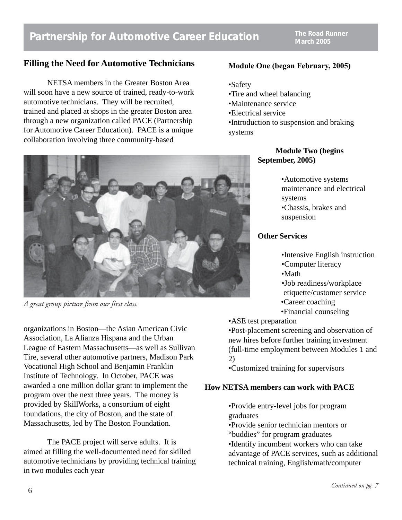## **Partnership for Automotive Career Education**

**The Road Runner March 2005**

## **Filling the Need for Automotive Technicians**

NETSA members in the Greater Boston Area will soon have a new source of trained, ready-to-work automotive technicians. They will be recruited, trained and placed at shops in the greater Boston area through a new organization called PACE (Partnership for Automotive Career Education). PACE is a unique collaboration involving three community-based



*A great group picture from our first class.*

organizations in Boston—the Asian American Civic Association, La Alianza Hispana and the Urban League of Eastern Massachusetts—as well as Sullivan Tire, several other automotive partners, Madison Park Vocational High School and Benjamin Franklin Institute of Technology. In October, PACE was awarded a one million dollar grant to implement the program over the next three years. The money is provided by SkillWorks, a consortium of eight foundations, the city of Boston, and the state of Massachusetts, led by The Boston Foundation.

The PACE project will serve adults. It is aimed at filling the well-documented need for skilled automotive technicians by providing technical training in two modules each year

#### **Module One (began February, 2005)**

- •Safety
- •Tire and wheel balancing
- •Maintenance service
- •Electrical service
- •Introduction to suspension and braking systems

## **Module Two (begins September, 2005)**

•Automotive systems maintenance and electrical systems •Chassis, brakes and suspension

## **Other Services**

•Intensive English instruction

- •Computer literacy
- •Math
- •Job readiness/workplace
- etiquette/customer service
- •Career coaching
- •Financial counseling
- •ASE test preparation

•Post-placement screening and observation of new hires before further training investment (full-time employment between Modules 1 and 2)

•Customized training for supervisors

### **How NETSA members can work with PACE**

•Provide entry-level jobs for program graduates

•Provide senior technician mentors or

"buddies" for program graduates

•Identify incumbent workers who can take advantage of PACE services, such as additional technical training, English/math/computer